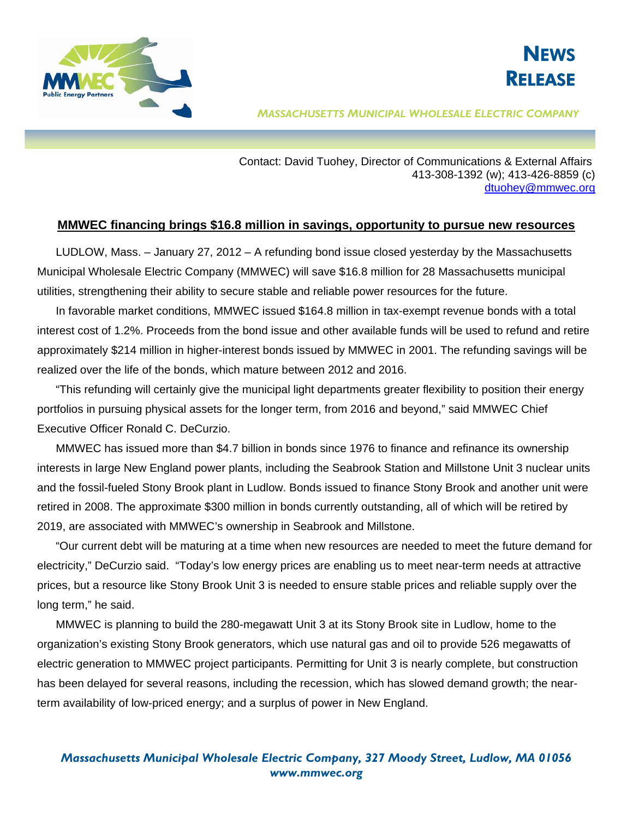



## *MASSACHUSETTS MUNICIPAL WHOLESALE ELECTRIC COMPANY*

 Contact: David Tuohey, Director of Communications & External Affairs 413-308-1392 (w); 413-426-8859 (c) [dtuohey@mmwec.org](mailto:dtuohey@mmwec.org)

## **MMWEC financing brings \$16.8 million in savings, opportunity to pursue new resources**

LUDLOW, Mass. – January 27, 2012 – A refunding bond issue closed yesterday by the Massachusetts Municipal Wholesale Electric Company (MMWEC) will save \$16.8 million for 28 Massachusetts municipal utilities, strengthening their ability to secure stable and reliable power resources for the future.

In favorable market conditions, MMWEC issued \$164.8 million in tax-exempt revenue bonds with a total interest cost of 1.2%. Proceeds from the bond issue and other available funds will be used to refund and retire approximately \$214 million in higher-interest bonds issued by MMWEC in 2001. The refunding savings will be realized over the life of the bonds, which mature between 2012 and 2016.

"This refunding will certainly give the municipal light departments greater flexibility to position their energy portfolios in pursuing physical assets for the longer term, from 2016 and beyond," said MMWEC Chief Executive Officer Ronald C. DeCurzio.

MMWEC has issued more than \$4.7 billion in bonds since 1976 to finance and refinance its ownership interests in large New England power plants, including the Seabrook Station and Millstone Unit 3 nuclear units and the fossil-fueled Stony Brook plant in Ludlow. Bonds issued to finance Stony Brook and another unit were retired in 2008. The approximate \$300 million in bonds currently outstanding, all of which will be retired by 2019, are associated with MMWEC's ownership in Seabrook and Millstone.

"Our current debt will be maturing at a time when new resources are needed to meet the future demand for electricity," DeCurzio said. "Today's low energy prices are enabling us to meet near-term needs at attractive prices, but a resource like Stony Brook Unit 3 is needed to ensure stable prices and reliable supply over the long term," he said.

MMWEC is planning to build the 280-megawatt Unit 3 at its Stony Brook site in Ludlow, home to the organization's existing Stony Brook generators, which use natural gas and oil to provide 526 megawatts of electric generation to MMWEC project participants. Permitting for Unit 3 is nearly complete, but construction has been delayed for several reasons, including the recession, which has slowed demand growth; the nearterm availability of low-priced energy; and a surplus of power in New England.